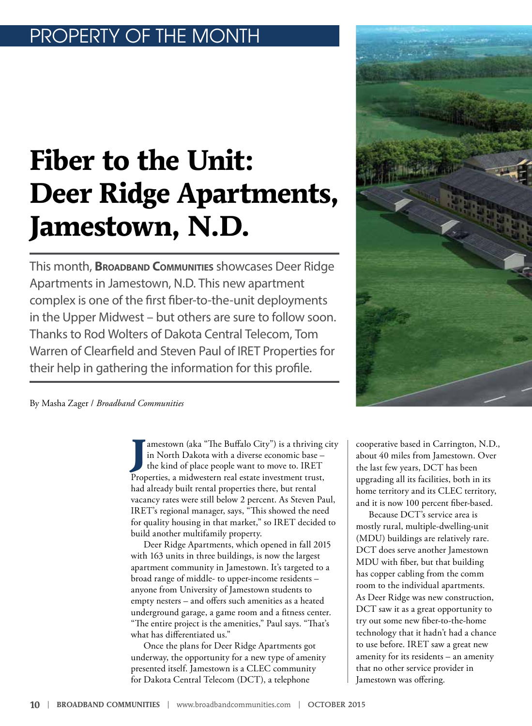# OPERTY OF THE MONTH

# **Fiber to the Unit: Deer Ridge Apartments, Jamestown, N.D.**

This month, **Broadband Communities** showcases Deer Ridge Apartments in Jamestown, N.D. This new apartment complex is one of the first fiber-to-the-unit deployments in the Upper Midwest – but others are sure to follow soon. Thanks to Rod Wolters of Dakota Central Telecom, Tom Warren of Clearfield and Steven Paul of IRET Properties for their help in gathering the information for this profile.

By Masha Zager / *Broadband Communities*

**J** amestown (aka "The Buffalo City") is a thriving city in North Dakota with a diverse economic base – the kind of place people want to move to. IRET Properties, a midwestern real estate investment trust, had already built rental properties there, but rental vacancy rates were still below 2 percent. As Steven Paul, IRET's regional manager, says, "This showed the need for quality housing in that market," so IRET decided to build another multifamily property.

Deer Ridge Apartments, which opened in fall 2015 with 163 units in three buildings, is now the largest apartment community in Jamestown. It's targeted to a broad range of middle- to upper-income residents – anyone from University of Jamestown students to empty nesters – and offers such amenities as a heated underground garage, a game room and a fitness center. "The entire project is the amenities," Paul says. "That's what has differentiated us."

Once the plans for Deer Ridge Apartments got underway, the opportunity for a new type of amenity presented itself. Jamestown is a CLEC community for Dakota Central Telecom (DCT), a telephone

cooperative based in Carrington, N.D., about 40 miles from Jamestown. Over the last few years, DCT has been upgrading all its facilities, both in its home territory and its CLEC territory, and it is now 100 percent fiber-based.

Because DCT's service area is mostly rural, multiple-dwelling-unit (MDU) buildings are relatively rare. DCT does serve another Jamestown MDU with fiber, but that building has copper cabling from the comm room to the individual apartments. As Deer Ridge was new construction, DCT saw it as a great opportunity to try out some new fiber-to-the-home technology that it hadn't had a chance to use before. IRET saw a great new amenity for its residents – an amenity that no other service provider in Jamestown was offering.

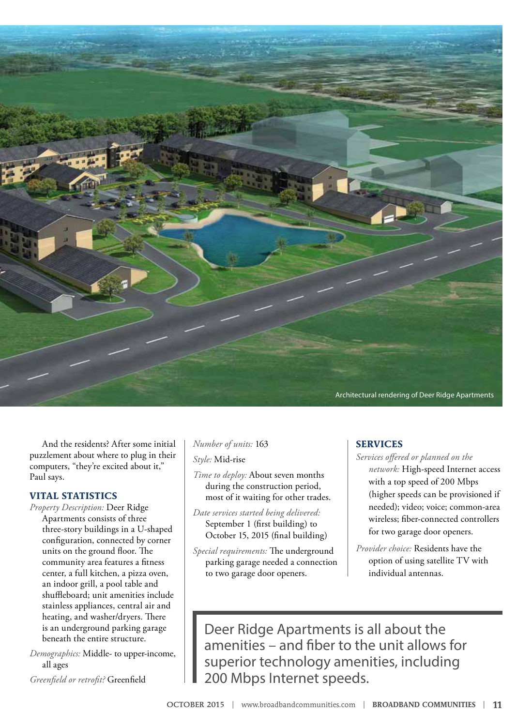

And the residents? After some initial puzzlement about where to plug in their computers, "they're excited about it," Paul says.

# **VITAL STATISTICS**

*Property Description:* Deer Ridge Apartments consists of three three-story buildings in a U-shaped configuration, connected by corner units on the ground floor. The community area features a fitness center, a full kitchen, a pizza oven, an indoor grill, a pool table and shuffleboard; unit amenities include stainless appliances, central air and heating, and washer/dryers. There is an underground parking garage beneath the entire structure.

*Demographics:* Middle- to upper-income, all ages

*Greenfield or retrofit?* Greenfield

### *Number of units:* 163

*Style:* Mid-rise

*Time to deploy:* About seven months during the construction period, most of it waiting for other trades.

- *Date services started being delivered:*  September 1 (first building) to October 15, 2015 (final building)
- *Special requirements:* The underground parking garage needed a connection to two garage door openers.

### **SERVICES**

- *Services offered or planned on the network:* High-speed Internet access with a top speed of 200 Mbps (higher speeds can be provisioned if needed); video; voice; common-area wireless; fiber-connected controllers for two garage door openers.
- *Provider choice:* Residents have the option of using satellite TV with individual antennas.

Deer Ridge Apartments is all about the amenities – and fiber to the unit allows for superior technology amenities, including 200 Mbps Internet speeds.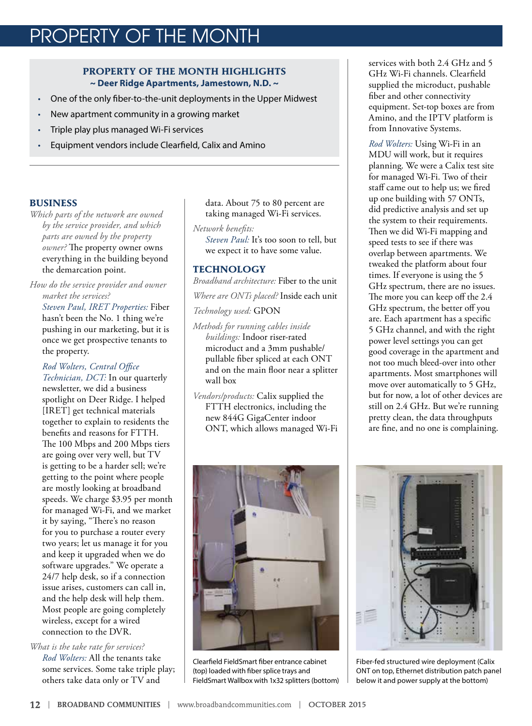# PROPERTY OF THE MONTH

# **PROPERTY OF THE MONTH HIGHLIGHTS ~ Deer Ridge Apartments, Jamestown, N.D. ~**

- One of the only fiber-to-the-unit deployments in the Upper Midwest
- New apartment community in a growing market
- Triple play plus managed Wi-Fi services
- Equipment vendors include Clearfield, Calix and Amino

#### **BUSINESS**

*Which parts of the network are owned by the service provider, and which parts are owned by the property owner?* The property owner owns everything in the building beyond the demarcation point.

*How do the service provider and owner market the services?* 

*Steven Paul, IRET Properties:* Fiber hasn't been the No. 1 thing we're pushing in our marketing, but it is once we get prospective tenants to the property.

*Rod Wolters, Central Office Technician, DCT:* In our quarterly newsletter, we did a business spotlight on Deer Ridge. I helped [IRET] get technical materials together to explain to residents the benefits and reasons for FTTH. The 100 Mbps and 200 Mbps tiers are going over very well, but TV is getting to be a harder sell; we're getting to the point where people are mostly looking at broadband speeds. We charge \$3.95 per month for managed Wi-Fi, and we market it by saying, "There's no reason for you to purchase a router every two years; let us manage it for you and keep it upgraded when we do software upgrades." We operate a 24/7 help desk, so if a connection issue arises, customers can call in, and the help desk will help them. Most people are going completely wireless, except for a wired connection to the DVR.

*What is the take rate for services? Rod Wolters:* All the tenants take some services. Some take triple play; others take data only or TV and

data. About 75 to 80 percent are taking managed Wi-Fi services.

*Network benefits:* 

*Steven Paul:* It's too soon to tell, but we expect it to have some value.

## **TECHNOLOGY**

*Broadband architecture:* Fiber to the unit

*Where are ONTs placed?* Inside each unit

*Technology used:* GPON

- *Methods for running cables inside buildings:* Indoor riser-rated microduct and a 3mm pushable/ pullable fiber spliced at each ONT and on the main floor near a splitter wall box
- *Vendors/products:* Calix supplied the FTTH electronics, including the new 844G GigaCenter indoor ONT, which allows managed Wi-Fi



Clearfield FieldSmart fiber entrance cabinet (top) loaded with fiber splice trays and FieldSmart Wallbox with 1x32 splitters (bottom)

services with both 2.4 GHz and 5 GHz Wi-Fi channels. Clearfield supplied the microduct, pushable fiber and other connectivity equipment. Set-top boxes are from Amino, and the IPTV platform is from Innovative Systems.

*Rod Wolters:* Using Wi-Fi in an MDU will work, but it requires planning. We were a Calix test site for managed Wi-Fi. Two of their staff came out to help us; we fired up one building with 57 ONTs, did predictive analysis and set up the system to their requirements. Then we did Wi-Fi mapping and speed tests to see if there was overlap between apartments. We tweaked the platform about four times. If everyone is using the 5 GHz spectrum, there are no issues. The more you can keep off the 2.4 GHz spectrum, the better off you are. Each apartment has a specific 5 GHz channel, and with the right power level settings you can get good coverage in the apartment and not too much bleed-over into other apartments. Most smartphones will move over automatically to 5 GHz, but for now, a lot of other devices are still on 2.4 GHz. But we're running pretty clean, the data throughputs are fine, and no one is complaining.



Fiber-fed structured wire deployment (Calix ONT on top, Ethernet distribution patch panel below it and power supply at the bottom)